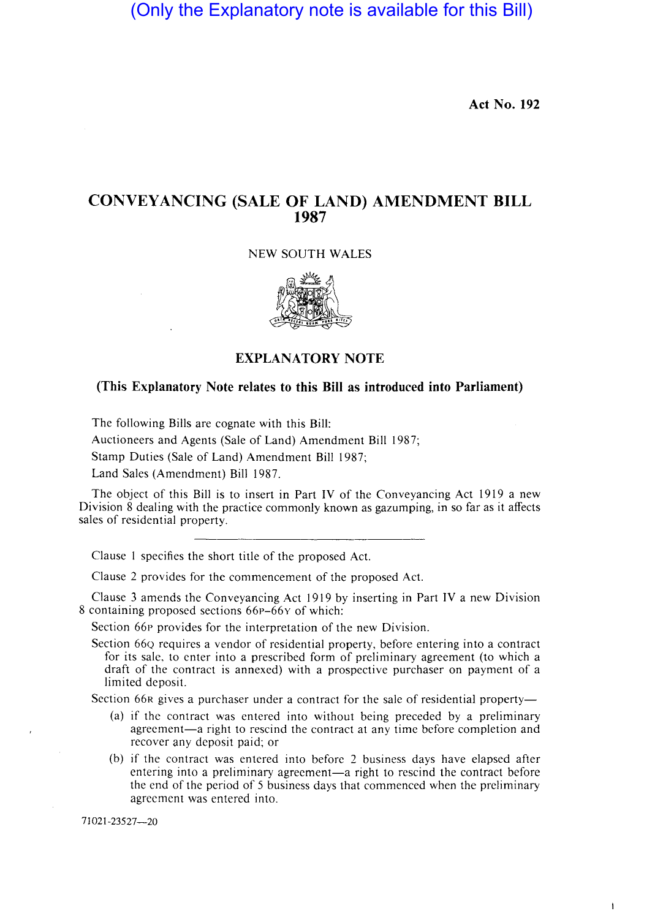(Only the Explanatory note is available for this Bill)

**Act No. 192** 

 $\ddot{\phantom{a}}$ 

## **CONVEYANCING (SALE OF LAND) AMENDMENT BILL 1987**

#### NEW SOUTH WALES



#### **EXPLANATORY NOTE**

#### **(This Explanatory Note relates to this Bill as introduced into Parliament)**

The following Bills are cognate with this Bill:

Auctioneers and Agents (Sale of Land) Amendment Bill 1987;

Stamp Duties (Sale of Land) Amendment Bill 1987;

Land Sales (Amendment) Bill 1987.

The object of this Bill is to insert in Part IV of the Conveyancing Act 1919 a new Division 8 dealing with the practice commonly known as gazumping, in so far as it affects sales of residential property.

Clause 1 specifies the short title of the proposed Act.

Clause 2 provides for the commencement of the proposed Act.

Clause 3 amends the Conveyancing Act 1919by inserting in Part IV a new Division 8 containing proposed sections 66p-66y of which:

Section 66P provides for the interpretation of the new Division.

Section 66Q requires a vendor of residential property, before entering into a contract for its sale, to enter into a prescribed form of preliminary agreement (to which a draft of the contract is annexed) with a prospective purchaser on payment of a limited deposit.

Section 66R gives a purchaser under a contract for the sale of residential property—

- (a) if the contract was entered into without being preceded by a preliminary agreement-a right to rescind the contract at any time before completion and recover any deposit paid; or
- (b) if the contract was entered into before 2 business days have elapsed after entering into a preliminary agreement-a right to rescind the contract before the end of the period of 5 business days that commenced when the preliminary agreement was entered into.

71021-23527-20